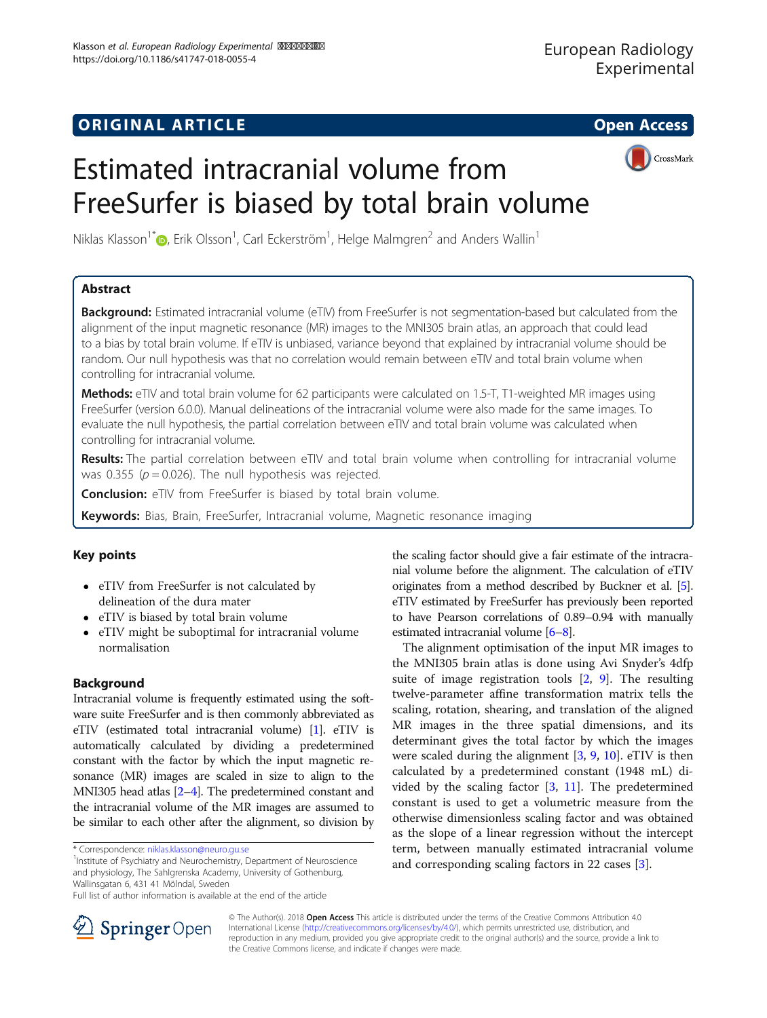## **ORIGINAL ARTICLE CONSERVANCE IN A LOCAL CONSERVANCE IN A LOCAL CONSERVANCE IN A LOCAL CONSERVANCE IN A LOCAL CONS**



# Estimated intracranial volume from FreeSurfer is biased by total brain volume

Niklas Klasson $1^*$  $1^*$  (D, Erik Olsson $^1$ , Carl Eckerström $^1$ , Helge Malmgren $^2$  and Anders Wallin $^1$ 

## Abstract

Background: Estimated intracranial volume (eTIV) from FreeSurfer is not segmentation-based but calculated from the alignment of the input magnetic resonance (MR) images to the MNI305 brain atlas, an approach that could lead to a bias by total brain volume. If eTIV is unbiased, variance beyond that explained by intracranial volume should be random. Our null hypothesis was that no correlation would remain between eTIV and total brain volume when controlling for intracranial volume.

Methods: eTIV and total brain volume for 62 participants were calculated on 1.5-T, T1-weighted MR images using FreeSurfer (version 6.0.0). Manual delineations of the intracranial volume were also made for the same images. To evaluate the null hypothesis, the partial correlation between eTIV and total brain volume was calculated when controlling for intracranial volume.

Results: The partial correlation between eTIV and total brain volume when controlling for intracranial volume was 0.355 ( $p = 0.026$ ). The null hypothesis was rejected.

**Conclusion:** eTIV from FreeSurfer is biased by total brain volume.

Keywords: Bias, Brain, FreeSurfer, Intracranial volume, Magnetic resonance imaging

## Key points

- eTIV from FreeSurfer is not calculated by delineation of the dura mater
- eTIV is biased by total brain volume
- eTIV might be suboptimal for intracranial volume normalisation

## Background

Intracranial volume is frequently estimated using the software suite FreeSurfer and is then commonly abbreviated as eTIV (estimated total intracranial volume) [\[1\]](#page-4-0). eTIV is automatically calculated by dividing a predetermined constant with the factor by which the input magnetic resonance (MR) images are scaled in size to align to the MNI305 head atlas [[2](#page-4-0)–[4\]](#page-4-0). The predetermined constant and the intracranial volume of the MR images are assumed to be similar to each other after the alignment, so division by

<sup>1</sup>Institute of Psychiatry and Neurochemistry, Department of Neuroscience and physiology, The Sahlgrenska Academy, University of Gothenburg, Wallinsgatan 6, 431 41 Mölndal, Sweden

the scaling factor should give a fair estimate of the intracranial volume before the alignment. The calculation of eTIV originates from a method described by Buckner et al. [[5](#page-4-0)]. eTIV estimated by FreeSurfer has previously been reported to have Pearson correlations of 0.89–0.94 with manually estimated intracranial volume [[6](#page-4-0)–[8\]](#page-4-0).

The alignment optimisation of the input MR images to the MNI305 brain atlas is done using Avi Snyder's 4dfp suite of image registration tools [\[2,](#page-4-0) [9\]](#page-4-0). The resulting twelve-parameter affine transformation matrix tells the scaling, rotation, shearing, and translation of the aligned MR images in the three spatial dimensions, and its determinant gives the total factor by which the images were scaled during the alignment [\[3](#page-4-0), [9,](#page-4-0) [10\]](#page-4-0). eTIV is then calculated by a predetermined constant (1948 mL) divided by the scaling factor [[3](#page-4-0), [11](#page-4-0)]. The predetermined constant is used to get a volumetric measure from the otherwise dimensionless scaling factor and was obtained as the slope of a linear regression without the intercept term, between manually estimated intracranial volume and corresponding scaling factors in 22 cases [\[3](#page-4-0)].



© The Author(s). 2018 Open Access This article is distributed under the terms of the Creative Commons Attribution 4.0 International License ([http://creativecommons.org/licenses/by/4.0/\)](http://creativecommons.org/licenses/by/4.0/), which permits unrestricted use, distribution, and reproduction in any medium, provided you give appropriate credit to the original author(s) and the source, provide a link to the Creative Commons license, and indicate if changes were made.

<sup>\*</sup> Correspondence: [niklas.klasson@neuro.gu.se](mailto:niklas.klasson@neuro.gu.se) <sup>1</sup>

Full list of author information is available at the end of the article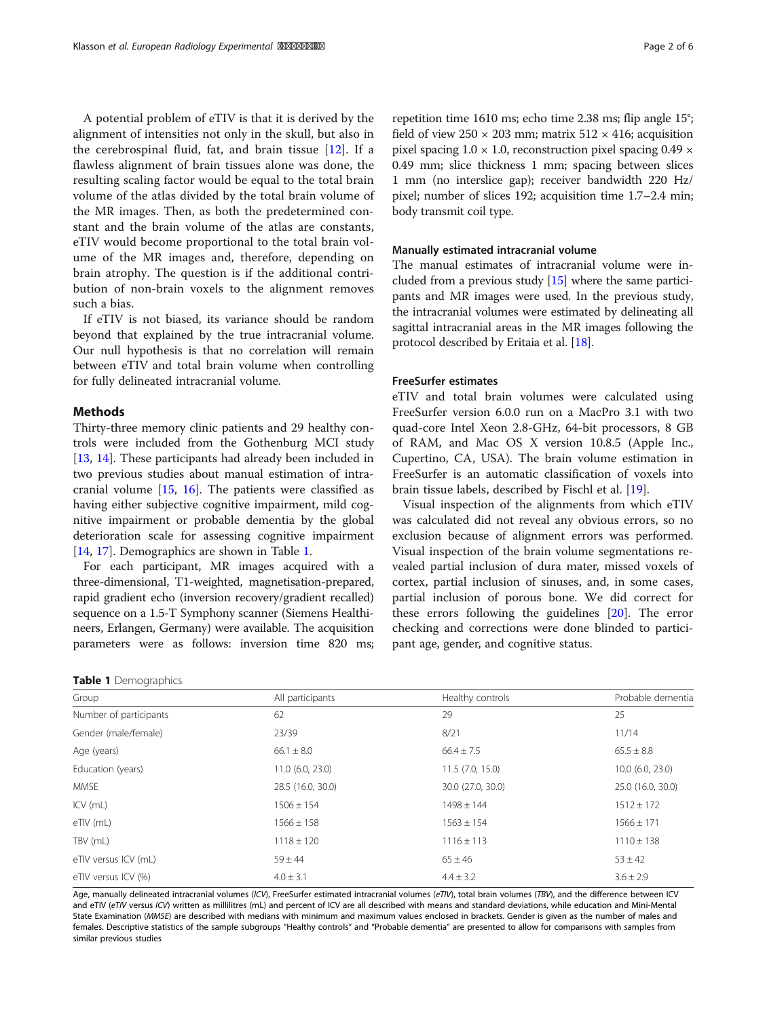<span id="page-1-0"></span>A potential problem of eTIV is that it is derived by the alignment of intensities not only in the skull, but also in the cerebrospinal fluid, fat, and brain tissue [\[12](#page-5-0)]. If a flawless alignment of brain tissues alone was done, the resulting scaling factor would be equal to the total brain volume of the atlas divided by the total brain volume of the MR images. Then, as both the predetermined constant and the brain volume of the atlas are constants, eTIV would become proportional to the total brain volume of the MR images and, therefore, depending on brain atrophy. The question is if the additional contribution of non-brain voxels to the alignment removes such a bias.

If eTIV is not biased, its variance should be random beyond that explained by the true intracranial volume. Our null hypothesis is that no correlation will remain between eTIV and total brain volume when controlling for fully delineated intracranial volume.

### **Methods**

Thirty-three memory clinic patients and 29 healthy controls were included from the Gothenburg MCI study [[13,](#page-5-0) [14\]](#page-5-0). These participants had already been included in two previous studies about manual estimation of intracranial volume [[15](#page-5-0), [16\]](#page-5-0). The patients were classified as having either subjective cognitive impairment, mild cognitive impairment or probable dementia by the global deterioration scale for assessing cognitive impairment [[14,](#page-5-0) [17\]](#page-5-0). Demographics are shown in Table 1.

For each participant, MR images acquired with a three-dimensional, T1-weighted, magnetisation-prepared, rapid gradient echo (inversion recovery/gradient recalled) sequence on a 1.5-T Symphony scanner (Siemens Healthineers, Erlangen, Germany) were available. The acquisition parameters were as follows: inversion time 820 ms;

|  |  | Table 1 Demographics |  |
|--|--|----------------------|--|
|--|--|----------------------|--|

repetition time 1610 ms; echo time 2.38 ms; flip angle 15°; field of view  $250 \times 203$  mm; matrix  $512 \times 416$ ; acquisition pixel spacing  $1.0 \times 1.0$ , reconstruction pixel spacing  $0.49 \times$ 0.49 mm; slice thickness 1 mm; spacing between slices 1 mm (no interslice gap); receiver bandwidth 220 Hz/ pixel; number of slices 192; acquisition time 1.7–2.4 min; body transmit coil type.

#### Manually estimated intracranial volume

The manual estimates of intracranial volume were included from a previous study [\[15\]](#page-5-0) where the same participants and MR images were used. In the previous study, the intracranial volumes were estimated by delineating all sagittal intracranial areas in the MR images following the protocol described by Eritaia et al. [\[18](#page-5-0)].

#### FreeSurfer estimates

eTIV and total brain volumes were calculated using FreeSurfer version 6.0.0 run on a MacPro 3.1 with two quad-core Intel Xeon 2.8-GHz, 64-bit processors, 8 GB of RAM, and Mac OS X version 10.8.5 (Apple Inc., Cupertino, CA, USA). The brain volume estimation in FreeSurfer is an automatic classification of voxels into brain tissue labels, described by Fischl et al. [\[19](#page-5-0)].

Visual inspection of the alignments from which eTIV was calculated did not reveal any obvious errors, so no exclusion because of alignment errors was performed. Visual inspection of the brain volume segmentations revealed partial inclusion of dura mater, missed voxels of cortex, partial inclusion of sinuses, and, in some cases, partial inclusion of porous bone. We did correct for these errors following the guidelines [[20\]](#page-5-0). The error checking and corrections were done blinded to participant age, gender, and cognitive status.

| Group                  | All participants   | Healthy controls  | Probable dementia  |  |  |
|------------------------|--------------------|-------------------|--------------------|--|--|
| Number of participants | 62                 | 29                | 25                 |  |  |
| Gender (male/female)   | 23/39              | 8/21              | 11/14              |  |  |
| Age (years)            | $66.1 \pm 8.0$     | $66.4 \pm 7.5$    | $65.5 \pm 8.8$     |  |  |
| Education (years)      | $11.0$ (6.0, 23.0) | 11.5(7.0, 15.0)   | $10.0$ (6.0, 23.0) |  |  |
| <b>MMSE</b>            | 28.5 (16.0, 30.0)  | 30.0 (27.0, 30.0) | 25.0 (16.0, 30.0)  |  |  |
| $ICV$ (mL)             | $1506 \pm 154$     | $1498 \pm 144$    | $1512 \pm 172$     |  |  |
| eTIV (mL)              | $1566 \pm 158$     | $1563 \pm 154$    | $1566 \pm 171$     |  |  |
| TBV (mL)               | $1118 \pm 120$     | $1116 \pm 113$    | $1110 \pm 138$     |  |  |
| eTIV versus ICV (mL)   | $59 \pm 44$        | $65 \pm 46$       | $53 \pm 42$        |  |  |
| eTIV versus ICV (%)    | $4.0 \pm 3.1$      | $4.4 \pm 3.2$     | $3.6 \pm 2.9$      |  |  |
|                        |                    |                   |                    |  |  |

Age, manually delineated intracranial volumes (ICV), FreeSurfer estimated intracranial volumes (FTV), total brain volumes (TBV), and the difference between ICV and eTIV (eTIV versus ICV) written as millilitres (mL) and percent of ICV are all described with means and standard deviations, while education and Mini-Mental State Examination (MMSE) are described with medians with minimum and maximum values enclosed in brackets. Gender is given as the number of males and females. Descriptive statistics of the sample subgroups "Healthy controls" and "Probable dementia" are presented to allow for comparisons with samples from similar previous studies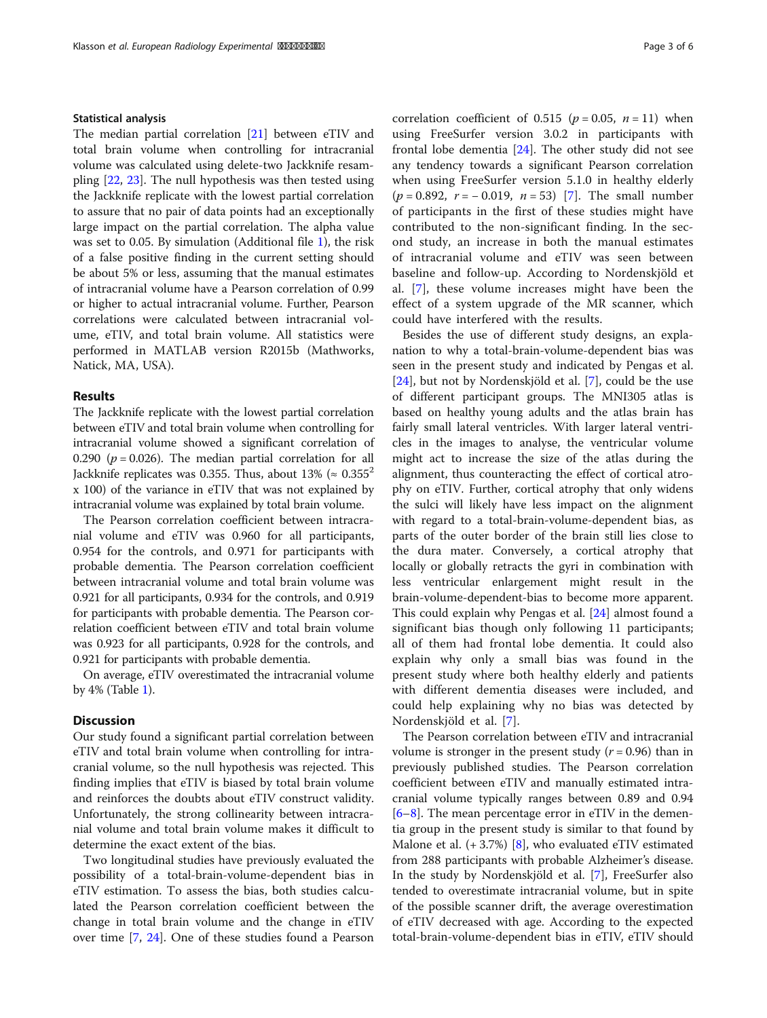#### Statistical analysis

The median partial correlation [\[21\]](#page-5-0) between eTIV and total brain volume when controlling for intracranial volume was calculated using delete-two Jackknife resampling [[22](#page-5-0), [23](#page-5-0)]. The null hypothesis was then tested using the Jackknife replicate with the lowest partial correlation to assure that no pair of data points had an exceptionally large impact on the partial correlation. The alpha value was set to 0.05. By simulation (Additional file [1](#page-4-0)), the risk of a false positive finding in the current setting should be about 5% or less, assuming that the manual estimates of intracranial volume have a Pearson correlation of 0.99 or higher to actual intracranial volume. Further, Pearson correlations were calculated between intracranial volume, eTIV, and total brain volume. All statistics were performed in MATLAB version R2015b (Mathworks, Natick, MA, USA).

#### Results

The Jackknife replicate with the lowest partial correlation between eTIV and total brain volume when controlling for intracranial volume showed a significant correlation of 0.290 ( $p = 0.026$ ). The median partial correlation for all Jackknife replicates was 0.355. Thus, about 13% ( $\approx 0.355^2$ ) x 100) of the variance in eTIV that was not explained by intracranial volume was explained by total brain volume.

The Pearson correlation coefficient between intracranial volume and eTIV was 0.960 for all participants, 0.954 for the controls, and 0.971 for participants with probable dementia. The Pearson correlation coefficient between intracranial volume and total brain volume was 0.921 for all participants, 0.934 for the controls, and 0.919 for participants with probable dementia. The Pearson correlation coefficient between eTIV and total brain volume was 0.923 for all participants, 0.928 for the controls, and 0.921 for participants with probable dementia.

On average, eTIV overestimated the intracranial volume by 4% (Table [1](#page-1-0)).

## **Discussion**

Our study found a significant partial correlation between eTIV and total brain volume when controlling for intracranial volume, so the null hypothesis was rejected. This finding implies that eTIV is biased by total brain volume and reinforces the doubts about eTIV construct validity. Unfortunately, the strong collinearity between intracranial volume and total brain volume makes it difficult to determine the exact extent of the bias.

Two longitudinal studies have previously evaluated the possibility of a total-brain-volume-dependent bias in eTIV estimation. To assess the bias, both studies calculated the Pearson correlation coefficient between the change in total brain volume and the change in eTIV over time [\[7](#page-4-0), [24\]](#page-5-0). One of these studies found a Pearson correlation coefficient of 0.515 ( $p = 0.05$ ,  $n = 11$ ) when using FreeSurfer version 3.0.2 in participants with frontal lobe dementia [\[24](#page-5-0)]. The other study did not see any tendency towards a significant Pearson correlation when using FreeSurfer version 5.1.0 in healthy elderly  $(p = 0.892, r = -0.019, n = 53)$  [[7\]](#page-4-0). The small number of participants in the first of these studies might have contributed to the non-significant finding. In the second study, an increase in both the manual estimates of intracranial volume and eTIV was seen between baseline and follow-up. According to Nordenskjöld et al. [[7\]](#page-4-0), these volume increases might have been the effect of a system upgrade of the MR scanner, which could have interfered with the results.

Besides the use of different study designs, an explanation to why a total-brain-volume-dependent bias was seen in the present study and indicated by Pengas et al. [[24\]](#page-5-0), but not by Nordenskjöld et al. [\[7](#page-4-0)], could be the use of different participant groups. The MNI305 atlas is based on healthy young adults and the atlas brain has fairly small lateral ventricles. With larger lateral ventricles in the images to analyse, the ventricular volume might act to increase the size of the atlas during the alignment, thus counteracting the effect of cortical atrophy on eTIV. Further, cortical atrophy that only widens the sulci will likely have less impact on the alignment with regard to a total-brain-volume-dependent bias, as parts of the outer border of the brain still lies close to the dura mater. Conversely, a cortical atrophy that locally or globally retracts the gyri in combination with less ventricular enlargement might result in the brain-volume-dependent-bias to become more apparent. This could explain why Pengas et al. [[24\]](#page-5-0) almost found a significant bias though only following 11 participants; all of them had frontal lobe dementia. It could also explain why only a small bias was found in the present study where both healthy elderly and patients with different dementia diseases were included, and could help explaining why no bias was detected by Nordenskjöld et al. [\[7](#page-4-0)].

The Pearson correlation between eTIV and intracranial volume is stronger in the present study  $(r = 0.96)$  than in previously published studies. The Pearson correlation coefficient between eTIV and manually estimated intracranial volume typically ranges between 0.89 and 0.94  $[6–8]$  $[6–8]$  $[6–8]$  $[6–8]$ . The mean percentage error in eTIV in the dementia group in the present study is similar to that found by Malone et al. (+ 3.7%) [[8\]](#page-4-0), who evaluated eTIV estimated from 288 participants with probable Alzheimer's disease. In the study by Nordenskjöld et al. [[7\]](#page-4-0), FreeSurfer also tended to overestimate intracranial volume, but in spite of the possible scanner drift, the average overestimation of eTIV decreased with age. According to the expected total-brain-volume-dependent bias in eTIV, eTIV should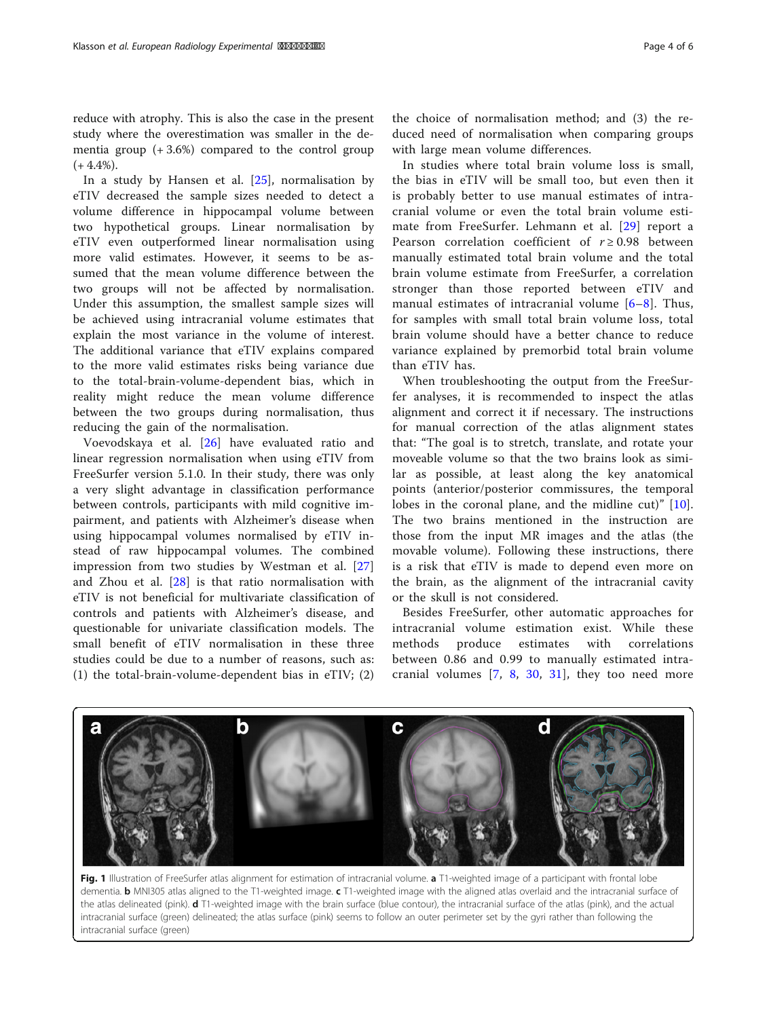<span id="page-3-0"></span>In a study by Hansen et al. [[25\]](#page-5-0), normalisation by eTIV decreased the sample sizes needed to detect a volume difference in hippocampal volume between two hypothetical groups. Linear normalisation by eTIV even outperformed linear normalisation using more valid estimates. However, it seems to be assumed that the mean volume difference between the two groups will not be affected by normalisation. Under this assumption, the smallest sample sizes will be achieved using intracranial volume estimates that explain the most variance in the volume of interest. The additional variance that eTIV explains compared to the more valid estimates risks being variance due to the total-brain-volume-dependent bias, which in reality might reduce the mean volume difference between the two groups during normalisation, thus reducing the gain of the normalisation.

Voevodskaya et al. [[26\]](#page-5-0) have evaluated ratio and linear regression normalisation when using eTIV from FreeSurfer version 5.1.0. In their study, there was only a very slight advantage in classification performance between controls, participants with mild cognitive impairment, and patients with Alzheimer's disease when using hippocampal volumes normalised by eTIV instead of raw hippocampal volumes. The combined impression from two studies by Westman et al. [\[27](#page-5-0)] and Zhou et al. [[28\]](#page-5-0) is that ratio normalisation with eTIV is not beneficial for multivariate classification of controls and patients with Alzheimer's disease, and questionable for univariate classification models. The small benefit of eTIV normalisation in these three studies could be due to a number of reasons, such as: (1) the total-brain-volume-dependent bias in eTIV; (2)

the choice of normalisation method; and (3) the reduced need of normalisation when comparing groups with large mean volume differences.

In studies where total brain volume loss is small, the bias in eTIV will be small too, but even then it is probably better to use manual estimates of intracranial volume or even the total brain volume estimate from FreeSurfer. Lehmann et al. [[29](#page-5-0)] report a Pearson correlation coefficient of  $r \ge 0.98$  between manually estimated total brain volume and the total brain volume estimate from FreeSurfer, a correlation stronger than those reported between eTIV and manual estimates of intracranial volume [\[6](#page-4-0)–[8\]](#page-4-0). Thus, for samples with small total brain volume loss, total brain volume should have a better chance to reduce variance explained by premorbid total brain volume than eTIV has.

When troubleshooting the output from the FreeSurfer analyses, it is recommended to inspect the atlas alignment and correct it if necessary. The instructions for manual correction of the atlas alignment states that: "The goal is to stretch, translate, and rotate your moveable volume so that the two brains look as similar as possible, at least along the key anatomical points (anterior/posterior commissures, the temporal lobes in the coronal plane, and the midline cut)" [\[10](#page-4-0)]. The two brains mentioned in the instruction are those from the input MR images and the atlas (the movable volume). Following these instructions, there is a risk that eTIV is made to depend even more on the brain, as the alignment of the intracranial cavity or the skull is not considered.

Besides FreeSurfer, other automatic approaches for intracranial volume estimation exist. While these methods produce estimates with correlations between 0.86 and 0.99 to manually estimated intracranial volumes  $[7, 8, 30, 31]$  $[7, 8, 30, 31]$  $[7, 8, 30, 31]$  $[7, 8, 30, 31]$  $[7, 8, 30, 31]$  $[7, 8, 30, 31]$  $[7, 8, 30, 31]$  $[7, 8, 30, 31]$ , they too need more



Fig. 1 Illustration of FreeSurfer atlas alignment for estimation of intracranial volume. a T1-weighted image of a participant with frontal lobe dementia. **b** MNI305 atlas aligned to the T1-weighted image. c T1-weighted image with the aligned atlas overlaid and the intracranial surface of the atlas delineated (pink). d T1-weighted image with the brain surface (blue contour), the intracranial surface of the atlas (pink), and the actual intracranial surface (green) delineated; the atlas surface (pink) seems to follow an outer perimeter set by the gyri rather than following the intracranial surface (green)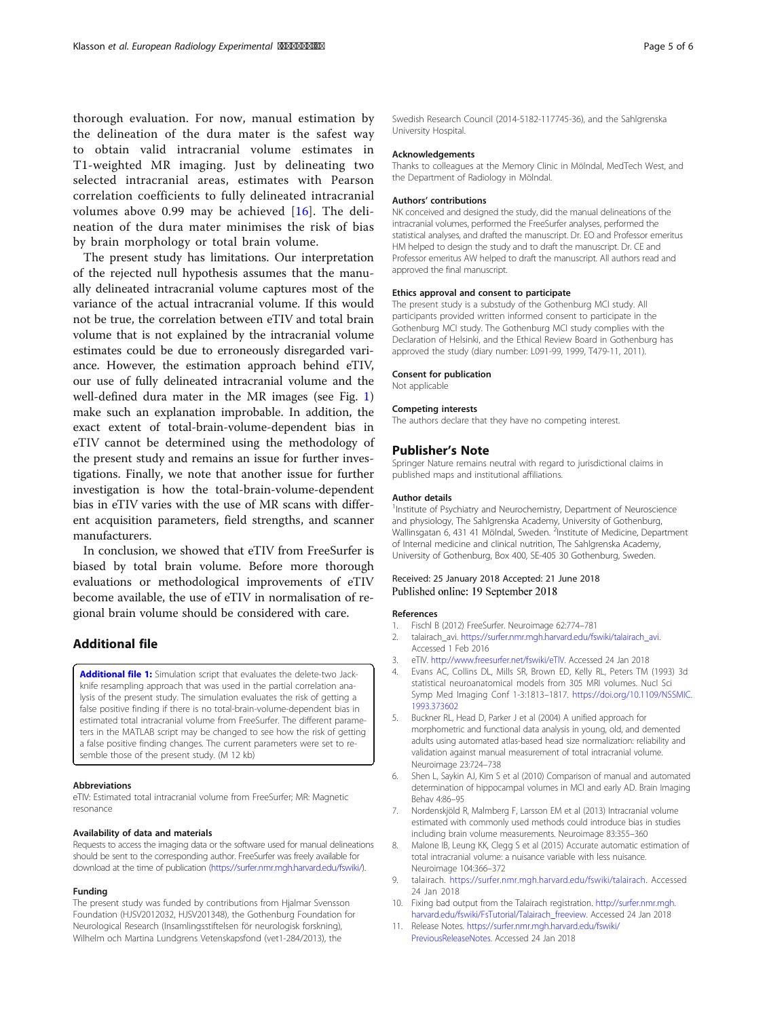<span id="page-4-0"></span>thorough evaluation. For now, manual estimation by the delineation of the dura mater is the safest way to obtain valid intracranial volume estimates in T1-weighted MR imaging. Just by delineating two selected intracranial areas, estimates with Pearson correlation coefficients to fully delineated intracranial volumes above 0.99 may be achieved [[16\]](#page-5-0). The delineation of the dura mater minimises the risk of bias by brain morphology or total brain volume.

The present study has limitations. Our interpretation of the rejected null hypothesis assumes that the manually delineated intracranial volume captures most of the variance of the actual intracranial volume. If this would not be true, the correlation between eTIV and total brain volume that is not explained by the intracranial volume estimates could be due to erroneously disregarded variance. However, the estimation approach behind eTIV, our use of fully delineated intracranial volume and the well-defined dura mater in the MR images (see Fig. [1](#page-3-0)) make such an explanation improbable. In addition, the exact extent of total-brain-volume-dependent bias in eTIV cannot be determined using the methodology of the present study and remains an issue for further investigations. Finally, we note that another issue for further investigation is how the total-brain-volume-dependent bias in eTIV varies with the use of MR scans with different acquisition parameters, field strengths, and scanner manufacturers.

In conclusion, we showed that eTIV from FreeSurfer is biased by total brain volume. Before more thorough evaluations or methodological improvements of eTIV become available, the use of eTIV in normalisation of regional brain volume should be considered with care.

#### Additional file

[Additional file 1:](https://doi.org/10.1186/s41747-018-0055-4) Simulation script that evaluates the delete-two Jackknife resampling approach that was used in the partial correlation analysis of the present study. The simulation evaluates the risk of getting a false positive finding if there is no total-brain-volume-dependent bias in estimated total intracranial volume from FreeSurfer. The different parameters in the MATLAB script may be changed to see how the risk of getting a false positive finding changes. The current parameters were set to resemble those of the present study. (M 12 kb)

#### Abbreviations

eTIV: Estimated total intracranial volume from FreeSurfer; MR: Magnetic resonance

#### Availability of data and materials

Requests to access the imaging data or the software used for manual delineations should be sent to the corresponding author. FreeSurfer was freely available for download at the time of publication [\(https://surfer.nmr.mgh.harvard.edu/fswiki/](https://surfer.nmr.mgh.harvard.edu/fswiki/)).

#### Funding

The present study was funded by contributions from Hjalmar Svensson Foundation (HJSV2012032, HJSV201348), the Gothenburg Foundation for Neurological Research (Insamlingsstiftelsen för neurologisk forskning), Wilhelm och Martina Lundgrens Vetenskapsfond (vet1-284/2013), the

Swedish Research Council (2014-5182-117745-36), and the Sahlgrenska University Hospital.

#### Acknowledgements

Thanks to colleagues at the Memory Clinic in Mölndal, MedTech West, and the Department of Radiology in Mölndal.

#### Authors' contributions

NK conceived and designed the study, did the manual delineations of the intracranial volumes, performed the FreeSurfer analyses, performed the statistical analyses, and drafted the manuscript. Dr. EO and Professor emeritus HM helped to design the study and to draft the manuscript. Dr. CE and Professor emeritus AW helped to draft the manuscript. All authors read and approved the final manuscript.

#### Ethics approval and consent to participate

The present study is a substudy of the Gothenburg MCI study. All participants provided written informed consent to participate in the Gothenburg MCI study. The Gothenburg MCI study complies with the Declaration of Helsinki, and the Ethical Review Board in Gothenburg has approved the study (diary number: L091-99, 1999, T479-11, 2011).

#### Consent for publication

Not applicable

#### Competing interests

The authors declare that they have no competing interest.

#### Publisher's Note

Springer Nature remains neutral with regard to jurisdictional claims in published maps and institutional affiliations.

#### Author details

<sup>1</sup>Institute of Psychiatry and Neurochemistry, Department of Neuroscience and physiology, The Sahlgrenska Academy, University of Gothenburg, Wallinsgatan 6, 431 41 Mölndal, Sweden. <sup>2</sup>Institute of Medicine, Department of Internal medicine and clinical nutrition, The Sahlgrenska Academy, University of Gothenburg, Box 400, SE-405 30 Gothenburg, Sweden.

#### Received: 25 January 2018 Accepted: 21 June 2018 Published online: 19 September 2018

#### References

- 1. Fischl B (2012) FreeSurfer. Neuroimage 62:774–781
- 2. talairach\_avi. [https://surfer.nmr.mgh.harvard.edu/fswiki/talairach\\_avi](https://surfer.nmr.mgh.harvard.edu/fswiki/talairach_avi). Accessed 1 Feb 2016
- 3. eTIV. <http://www.freesurfer.net/fswiki/eTIV>. Accessed 24 Jan 2018
- 4. Evans AC, Collins DL, Mills SR, Brown ED, Kelly RL, Peters TM (1993) 3d statistical neuroanatomical models from 305 MRI volumes. Nucl Sci Symp Med Imaging Conf 1-3:1813–1817. [https://doi.org/10.1109/NSSMIC.](https://doi.org/10.1109/NSSMIC.1993.373602) [1993.373602](https://doi.org/10.1109/NSSMIC.1993.373602)
- 5. Buckner RL, Head D, Parker J et al (2004) A unified approach for morphometric and functional data analysis in young, old, and demented adults using automated atlas-based head size normalization: reliability and validation against manual measurement of total intracranial volume. Neuroimage 23:724–738
- 6. Shen L, Saykin AJ, Kim S et al (2010) Comparison of manual and automated determination of hippocampal volumes in MCI and early AD. Brain Imaging Behav 4:86–95
- 7. Nordenskjöld R, Malmberg F, Larsson EM et al (2013) Intracranial volume estimated with commonly used methods could introduce bias in studies including brain volume measurements. Neuroimage 83:355–360
- 8. Malone IB, Leung KK, Clegg S et al (2015) Accurate automatic estimation of total intracranial volume: a nuisance variable with less nuisance. Neuroimage 104:366–372
- 9. talairach. [https://surfer.nmr.mgh.harvard.edu/fswiki/talairach.](https://surfer.nmr.mgh.harvard.edu/fswiki/talairach) Accessed 24 Jan 2018
- 10. Fixing bad output from the Talairach registration. [http://surfer.nmr.mgh.](http://surfer.nmr.mgh.harvard.edu/fswiki/FsTutorial/Talairach_freeview) [harvard.edu/fswiki/FsTutorial/Talairach\\_freeview](http://surfer.nmr.mgh.harvard.edu/fswiki/FsTutorial/Talairach_freeview). Accessed 24 Jan 2018
- 11. Release Notes. [https://surfer.nmr.mgh.harvard.edu/fswiki/](https://surfer.nmr.mgh.harvard.edu/fswiki/PreviousReleaseNotes) [PreviousReleaseNotes](https://surfer.nmr.mgh.harvard.edu/fswiki/PreviousReleaseNotes). Accessed 24 Jan 2018